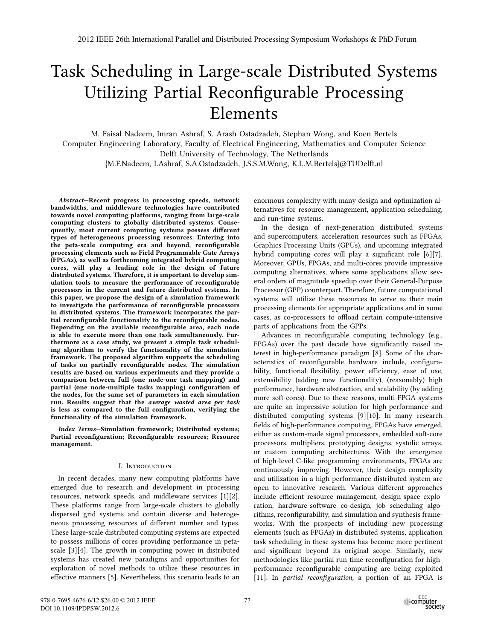# Task Scheduling in Large-scale Distributed Systems Utilizing Partial Reconfigurable Processing Elements

M. Faisal Nadeem, Imran Ashraf, S. Arash Ostadzadeh, Stephan Wong, and Koen Bertels Computer Engineering Laboratory, Faculty of Electrical Engineering, Mathematics and Computer Science Delft University of Technology, The Netherlands {M.F.Nadeem, I.Ashraf, S.A.Ostadzadeh, J.S.S.M.Wong, K.L.M.Bertels}@TUDelft.nl

*Abstract***—Recent progress in processing speeds, network bandwidths, and middleware technologies have contributed towards novel computing platforms, ranging from large-scale computing clusters to globally distributed systems. Consequently, most current computing systems possess different types of heterogeneous processing resources. Entering into the peta-scale computing era and beyond, reconfigurable processing elements such as Field Programmable Gate Arrays (FPGAs), as well as forthcoming integrated hybrid computing cores, will play a leading role in the design of future distributed systems. Therefore, it is important to develop simulation tools to measure the performance of reconfigurable processors in the current and future distributed systems. In this paper, we propose the design of a simulation framework to investigate the performance of reconfigurable processors in distributed systems. The framework incorporates the partial reconfigurable functionality to the reconfigurable nodes. Depending on the available reconfigurable area, each node is able to execute more than one task simultaneously. Furthermore as a case study, we present a simple task scheduling algorithm to verify the functionality of the simulation framework. The proposed algorithm supports the scheduling of tasks on partially reconfigurable nodes. The simulation results are based on various experiments and they provide a comparison between full (one node-one task mapping) and partial (one node-multiple tasks mapping) configuration of the nodes, for the same set of parameters in each simulation run. Results suggest that the** *average wasted area per task* **is less as compared to the full configuration, verifying the functionality of the simulation framework.**

*Index Terms***—Simulation framework; Distributed systems; Partial reconfiguration; Reconfigurable resources; Resource management.**

#### I. Introduction

In recent decades, many new computing platforms have emerged due to research and development in processing resources, network speeds, and middleware services [1][2]. These platforms range from large-scale clusters to globally dispersed grid systems and contain diverse and heterogeneous processing resources of different number and types. These large-scale distributed computing systems are expected to possess millions of cores providing performance in petascale [3][4]. The growth in computing power in distributed systems has created new paradigms and opportunities for exploration of novel methods to utilize these resources in effective manners [5]. Nevertheless, this scenario leads to an enormous complexity with many design and optimization alternatives for resource management, application scheduling, and run-time systems.

In the design of next-generation distributed systems and supercomputers, acceleration resources such as FPGAs, Graphics Processing Units (GPUs), and upcoming integrated hybrid computing cores will play a significant role [6][7]. Moreover, GPUs, FPGAs, and multi-cores provide impressive computing alternatives, where some applications allow several orders of magnitude speedup over their General-Purpose Processor (GPP) counterpart. Therefore, future computational systems will utilize these resources to serve as their main processing elements for appropriate applications and in some cases, as co-processors to offload certain compute-intensive parts of applications from the GPPs.

Advances in reconfigurable computing technology (e.g., FPGAs) over the past decade have significantly raised interest in high-performance paradigm [8]. Some of the characteristics of reconfigurable hardware include, configurability, functional flexibility, power efficiency, ease of use, extensibility (adding new functionality), (reasonably) high performance, hardware abstraction, and scalability (by adding more soft-cores). Due to these reasons, multi-FPGA systems are quite an impressive solution for high-performance and distributed computing systems [9][10]. In many research fields of high-performance computing, FPGAs have emerged, either as custom-made signal processors, embedded soft-core processors, multipliers, prototyping designs, systolic arrays, or custom computing architectures. With the emergence of high-level C-like programming environments, FPGAs are continuously improving. However, their design complexity and utilization in a high-performance distributed system are open to innovative research. Various different approaches include efficient resource management, design-space exploration, hardware-software co-design, job scheduling algorithms, reconfigurability, and simulation and synthesis frameworks. With the prospects of including new processing elements (such as FPGAs) in distributed systems, application task scheduling in these systems has become more pertinent and significant beyond its original scope. Similarly, new methodologies like partial run-time reconfiguration for highperformance reconfigurable computing are being exploited [11]. In *partial reconfiguration,* a portion of an FPGA is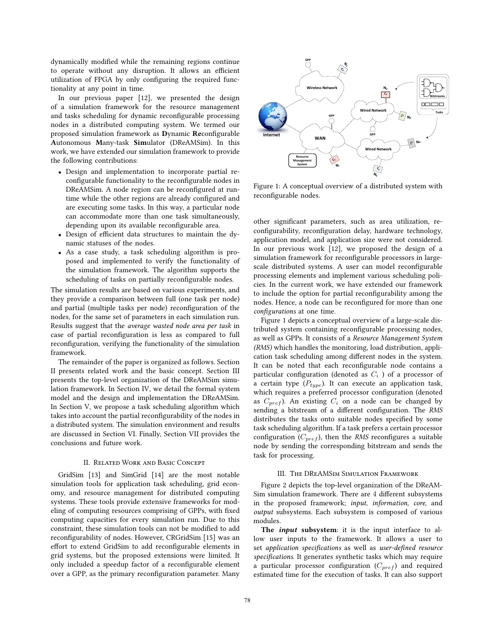dynamically modified while the remaining regions continue to operate without any disruption. It allows an efficient utilization of FPGA by only configuring the required functionality at any point in time.

In our previous paper [12], we presented the design of a simulation framework for the resource management and tasks scheduling for dynamic reconfigurable processing nodes in a distributed computing system. We termed our proposed simulation framework as **D**ynamic **Re**configurable **A**utonomous **M**any-task **Sim**ulator (DReAMSim). In this work, we have extended our simulation framework to provide the following contributions:

- Design and implementation to incorporate partial reconfigurable functionality to the reconfigurable nodes in DReAMSim. A node region can be reconfigured at runtime while the other regions are already configured and are executing some tasks. In this way, a particular node can accommodate more than one task simultaneously, depending upon its available reconfigurable area.
- Design of efficient data structures to maintain the dynamic statuses of the nodes.
- As a case study, a task scheduling algorithm is proposed and implemented to verify the functionality of the simulation framework. The algorithm supports the scheduling of tasks on partially reconfigurable nodes.

The simulation results are based on various experiments, and they provide a comparison between full (one task per node) and partial (multiple tasks per node) reconfiguration of the nodes, for the same set of parameters in each simulation run. Results suggest that the *average wasted node area per task* in case of partial reconfiguration is less as compared to full reconfiguration, verifying the functionality of the simulation framework.

The remainder of the paper is organized as follows. Section II presents related work and the basic concept. Section III presents the top-level organization of the DReAMSim simulation framework. In Section IV, we detail the formal system model and the design and implementation the DReAMSim. In Section V, we propose a task scheduling algorithm which takes into account the partial reconfigurability of the nodes in a distributed system. The simulation environment and results are discussed in Section VI. Finally, Section VII provides the conclusions and future work.

# II. Related Work and Basic Concept

GridSim [13] and SimGrid [14] are the most notable simulation tools for application task scheduling, grid economy, and resource management for distributed computing systems. These tools provide extensive frameworks for modeling of computing resources comprising of GPPs, with fixed computing capacities for every simulation run. Due to this constraint, these simulation tools can not be modified to add reconfigurability of nodes. However, CRGridSim [15] was an effort to extend GridSim to add reconfigurable elements in grid systems, but the proposed extensions were limited. It only included a speedup factor of a reconfigurable element over a GPP, as the primary reconfiguration parameter. Many



Figure 1: A conceptual overview of a distributed system with reconfigurable nodes.

other significant parameters, such as area utilization, reconfigurability, reconfiguration delay, hardware technology, application model, and application size were not considered. In our previous work [12], we proposed the design of a simulation framework for reconfigurable processors in largescale distributed systems. A user can model reconfigurable processing elements and implement various scheduling policies. In the current work, we have extended our framework to include the option for partial reconfigurability among the nodes. Hence, a node can be reconfigured for more than one *configurations* at one time.

Figure 1 depicts a conceptual overview of a large-scale distributed system containing reconfigurable processing nodes, as well as GPPs. It consists of a *Resource Management System (RMS)* which handles the monitoring, load distribution, application task scheduling among different nodes in the system. It can be noted that each reconfigurable node contains a particular configuration (denoted as  $C_i$ ) of a processor of a certain type  $(P_{type})$ . It can execute an application task, which requires a preferred processor configuration (denoted as  $C_{pref}$ ). An existing  $C_i$  on a node can be changed by sending a bitstream of a different configuration. The *RMS* distributes the tasks onto suitable nodes specified by some task scheduling algorithm. If a task prefers a certain processor configuration  $(C_{pref})$ , then the *RMS* reconfigures a suitable node by sending the corresponding bitstream and sends the task for processing.

#### III. The DReAMSim Simulation Framework

Figure 2 depicts the top-level organization of the DReAM-Sim simulation framework. There are 4 different subsystems in the proposed framework; *input*, *information*, *core*, and *output* subsystems. Each subsystem is composed of various modules.

**The** *input* **subsystem**: it is the input interface to allow user inputs to the framework. It allows a user to set *application specifications* as well as *user-defined resource specifications*. It generates synthetic tasks which may require a particular processor configuration  $(C_{pref})$  and required estimated time for the execution of tasks. It can also support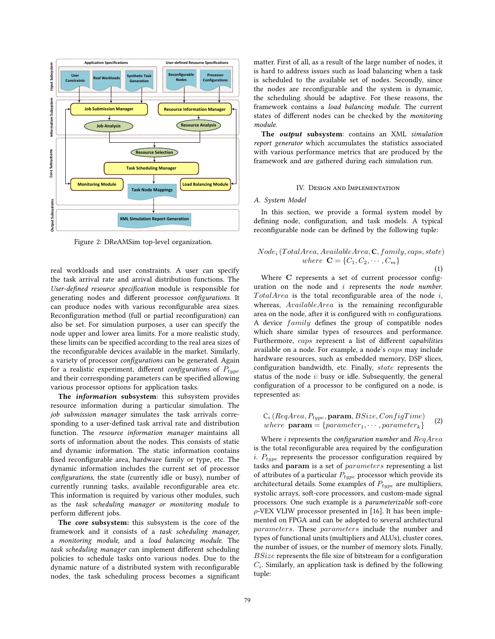

Figure 2: DReAMSim top-level organization.

real workloads and user constraints. A user can specify the task arrival rate and arrival distribution functions. The *User-defined resource specification* module is responsible for generating nodes and different processor *configurations*. It can produce nodes with various reconfigurable area sizes. Reconfiguration method (full or partial reconfiguration) can also be set. For simulation purposes, a user can specify the node upper and lower area limits. For a more realistic study, these limits can be specified according to the real area sizes of the reconfigurable devices available in the market. Similarly, a variety of processor *configurations* can be generated. Again for a realistic experiment, different *configurations* of  $P_{type}$ and their corresponding parameters can be specified allowing various processor options for application tasks.

**The** *information* **subsystem**: this subsystem provides resource information during a particular simulation*.* The *job submission manager* simulates the task arrivals corresponding to a user-defined task arrival rate and distribution function*.* The *resource information manager* maintains all sorts of information about the nodes. This consists of static and dynamic information. The static information contains fixed reconfigurable area, hardware family or type, etc. The dynamic information includes the current set of processor *configurations*, the state (currently idle or busy), number of currently running tasks, available reconfigurable area etc. This information is required by various other modules, such as the *task scheduling manager or monitoring module* to perform different jobs.

**The** *core* **subsystem:** this subsystem is the core of the framework and it consists of a *task scheduling manager,* a *monitoring module,* and a *load balancing module.* The *task scheduling manager* can implement different scheduling policies to schedule tasks onto various nodes. Due to the dynamic nature of a distributed system with reconfigurable nodes, the task scheduling process becomes a significant

matter. First of all, as a result of the large number of nodes, it is hard to address issues such as load balancing when a task is scheduled to the available set of nodes. Secondly, since the nodes are reconfigurable and the system is dynamic, the scheduling should be adaptive. For these reasons, the framework contains a *load balancing module*. The current states of different nodes can be checked by the *monitoring module*.

**The** *output* **subsystem**: contains an XML *simulation report generator* which accumulates the statistics associated with various performance metrics that are produced by the framework and are gathered during each simulation run.

#### IV. Design and Implementation

# *A. System Model*

In this section, we provide a formal system model by defining node, configuration, and task models. A typical reconfigurable node can be defined by the following tuple:

$$
Node_i (TotalArea, AvailableArea, \mathbf{C}, family, caps, state)
$$
  
where 
$$
\mathbf{C} = \{C_1, C_2, \cdots, C_m\}
$$
  
(1)

Where **C** represents a set of current processor configuration on the node and i represents the *node number*.  $TotalArea$  is the total reconfigurable area of the node i, whereas, AvailableArea is the remaining reconfigurable area on the node, after it is configured with  $m$  configurations. A device  $family$  defines the group of compatible nodes which share similar types of resources and performance. Furthermore, caps represent a list of different *capabilities* available on a node. For example, a node's caps may include hardware resources, such as embedded memory, DSP slices, configuration bandwidth, etc. Finally, state represents the status of the node  $i$ : busy or idle. Subsequently, the general configuration of a processor to be configured on a node, is represented as:

$$
C_i (ReqArea, P_{type}, \textbf{param}, BSize, ConfigTime)
$$
  
where  $\textbf{param} = \{parameter_1, \cdots, parameter_k\}$  (2)

Where i represents the *configuration number* and ReqArea is the total reconfigurable area required by the configuration i.  $P_{type}$  represents the processor configuration required by tasks and **param** is a set of parameters representing a list of attributes of a particular  $\mathcal{P}_{type}$  processor which provide its architectural details. Some examples of  $P_{type}$  are multipliers, systolic arrays, soft-core processors, and custom-made signal processors. One such example is a *parameterizable* soft-core  $\rho$ -VEX VLIW processor presented in [16]. It has been implemented on FPGA and can be adopted to several architectural parameters. These parameters include the number and types of functional units (multipliers and ALUs), cluster cores, the number of issues, or the number of memory slots. Finally,  $BSize$  represents the file size of bitstream for a configuration  $C_i$ . Similarly, an application task is defined by the following tuple: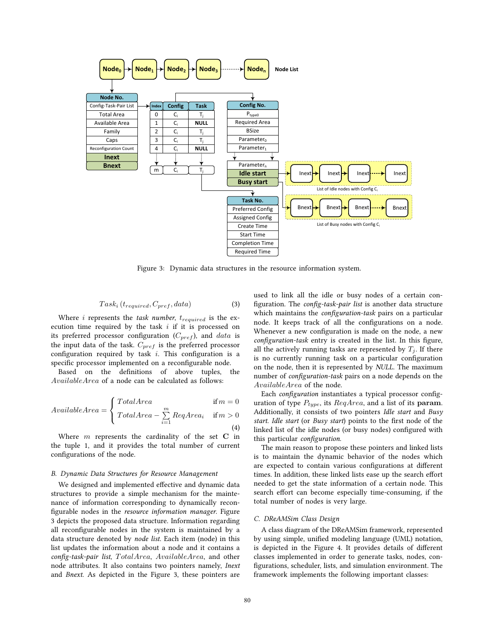

Figure 3: Dynamic data structures in the resource information system.

$$
Task_i(t_{required}, C_{pref}, data) \tag{3}
$$

Where  $i$  represents the *task number*,  $t_{required}$  is the execution time required by the task  $i$  if it is processed on its preferred processor configuration  $(C_{pref})$ , and data is the input data of the task.  $C_{pref}$  is the preferred processor configuration required by task  $i$ . This configuration is a specific processor implemented on a reconfigurable node.

Based on the definitions of above tuples, the AvailableArea of a node can be calculated as follows:

$$
AvailableArea = \begin{cases} TotalArea & \text{if } m = 0\\ TotalArea - \sum_{i=1}^{m} ReqArea_i & \text{if } m > 0 \end{cases}
$$
(4)

Where m represents the cardinality of the set **C** in the tuple 1, and it provides the total number of current configurations of the node.

#### *B. Dynamic Data Structures for Resource Management*

We designed and implemented effective and dynamic data structures to provide a simple mechanism for the maintenance of information corresponding to dynamically reconfigurable nodes in the *resource information manager*. Figure 3 depicts the proposed data structure. Information regarding all reconfigurable nodes in the system is maintained by a data structure denoted by *node list*. Each item (node) in this list updates the information about a node and it contains a config-task-pair list, TotalArea, AvailableArea, and other node attributes. It also contains two pointers namely, *Inext* and *Bnext*. As depicted in the Figure 3, these pointers are used to link all the idle or busy nodes of a certain configuration. The *config-task-pair list* is another data structure which maintains the *configuration-task* pairs on a particular node. It keeps track of all the configurations on a node. Whenever a new configuration is made on the node, a new *configuration-task* entry is created in the list. In this figure, all the actively running tasks are represented by  $T_i$ . If there is no currently running task on a particular configuration on the node, then it is represented by *NULL*. The maximum number of *configuration-task* pairs on a node depends on the AvailableArea of the node.

Each *configuration* instantiates a typical processor configuration of type  $P_{type}$ , its  $ReqArea$ , and a list of its **param**. Additionally, it consists of two pointers *Idle start* and *Busy start. Idle start* (or *Busy start*) points to the first node of the linked list of the idle nodes (or busy nodes) configured with this particular *configuration*.

The main reason to propose these pointers and linked lists is to maintain the dynamic behavior of the nodes which are expected to contain various configurations at different times. In addition, these linked lists ease up the search effort needed to get the state information of a certain node. This search effort can become especially time-consuming, if the total number of nodes is very large.

#### *C. DReAMSim Class Design*

A class diagram of the DReAMSim framework, represented by using simple, unified modeling language (UML) notation, is depicted in the Figure 4. It provides details of different classes implemented in order to generate tasks, nodes, configurations, scheduler, lists, and simulation environment. The framework implements the following important classes: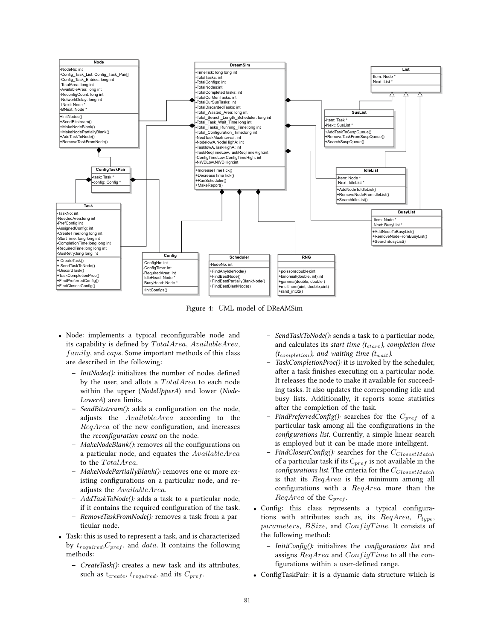

Figure 4: UML model of DReAMSim

- Node: implements a typical reconfigurable node and its capability is defined by T otalArea, AvailableArea,  $family, and \textit{caps}$ . Some important methods of this class are described in the following:
	- **–** *InitNodes():* initializes the number of nodes defined by the user, and allots a  $TotalArea$  to each node within the upper (*NodeUpperA*) and lower (*Node-LowerA*) area limits.
	- **–** *SendBitstream():* adds a configuration on the node, adjusts the AvailableArea according to the  $ReqArea$  of the new configuration, and increases the *reconfiguration count* on the node.
	- **–** *MakeNodeBlank():* removes all the configurations on a particular node, and equates the AvailableArea to the TotalArea.
	- **–** *MakeNodePartiallyBlank():* removes one or more existing configurations on a particular node, and readjusts the AvailableArea*.*
	- **–** *AddTaskToNode():* adds a task to a particular node, if it contains the required configuration of the task.
	- **–** *RemoveTaskFromNode():* removes a task from a particular node.
- Task: this is used to represent a task, and is characterized by  $t_{required}, C_{pref}$ , and  $data$ . It contains the following methods:
	- **–** *CreateTask():* creates a new task and its attributes, such as  $t_{create}$ ,  $t_{required}$ , and its  $C_{pref}$ .
- **–** *SendTaskToNode():* sends a task to a particular node, and calculates its *start time (t*start*), completion time (t*completion*), and waiting time (t*wait*).*
- **–** *TaskCompletionProc():* it is invoked by the scheduler, after a task finishes executing on a particular node. It releases the node to make it available for succeeding tasks. It also updates the corresponding idle and busy lists. Additionally, it reports some statistics after the completion of the task.
- $-$  *FindPreferredConfig():* searches for the  $C_{pref}$  of a particular task among all the configurations in the *configurations list*. Currently, a simple linear search is employed but it can be made more intelligent.
- **–** *FindClosestConfig():* searches for the CClosestMatch of a particular task if its  $C_{pref}$  is not available in the *configurations list.* The criteria for the  $C_{ClosestMatch}$ is that its ReqArea is the minimum among all configurations with a ReqArea more than the  $ReqArea$  of the  $C_{pref}$ .
- Config: this class represents a typical configurations with attributes such as, its  $RegArea$ ,  $P_{tune}$ , parameters,  $BSize$ , and  $ConfiqTime$ . It consists of the following method:
	- **–** *InitiConfig():* initializes the *configurations list* and assigns  $ReqArea$  and  $ConfigTime$  to all the configurations within a user-defined range.
- ConfigTaskPair: it is a dynamic data structure which is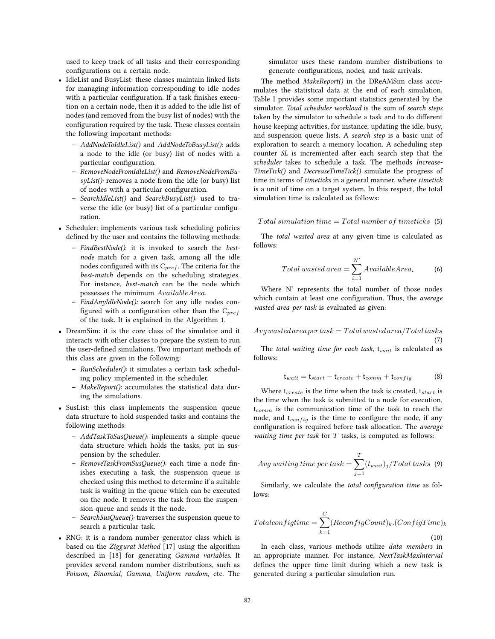used to keep track of all tasks and their corresponding configurations on a certain node.

- IdleList and BusyList: these classes maintain linked lists for managing information corresponding to idle nodes with a particular configuration. If a task finishes execution on a certain node, then it is added to the idle list of nodes (and removed from the busy list of nodes) with the configuration required by the task. These classes contain the following important methods:
	- **–** *AddNodeToIdleList()* and *AddNodeToBusyList():* adds a node to the idle (or busy) list of nodes with a particular configuration.
	- **–** *RemoveNodeFromIdleList()* and *RemoveNodeFromBusyList():* removes a node from the idle (or busy) list of nodes with a particular configuration.
	- **–** *SearchIdleList()* and *SearchBusyList():* used to traverse the idle (or busy) list of a particular configuration.
- Scheduler: implements various task scheduling policies defined by the user and contains the following methods:
	- **–** *FindBestNode()*: it is invoked to search the *bestnode* match for a given task, among all the idle nodes configured with its  $C_{pref}$ . The criteria for the *best-match* depends on the scheduling strategies. For instance, *best-match* can be the node which possesses the minimum AvailableArea.
	- **–** *FindAnyIdleNode():* search for any idle nodes configured with a configuration other than the  $C_{pref}$ of the task. It is explained in the Algorithm 1.
- DreamSim: it is the core class of the simulator and it interacts with other classes to prepare the system to run the user-defined simulations. Two important methods of this class are given in the following:
	- **–** *RunScheduler():* it simulates a certain task scheduling policy implemented in the scheduler.
	- **–** *MakeReport():* accumulates the statistical data during the simulations.
- SusList: this class implements the suspension queue data structure to hold suspended tasks and contains the following methods:
	- **–** *AddTaskToSusQueue():* implements a simple queue data structure which holds the tasks, put in suspension by the scheduler.
	- **–** *RemoveTaskFromSusQueue():* each time a node finishes executing a task, the suspension queue is checked using this method to determine if a suitable task is waiting in the queue which can be executed on the node. It removes the task from the suspension queue and sends it the node.
	- **–** *SearchSusQueue():* traverses the suspension queue to search a particular task.
- RNG: it is a random number generator class which is based on the *Ziggurat Method* [17] using the algorithm described in [18] for generating *Gamma variables*. It provides several random number distributions, such as *Poisson*, *Binomial*, *Gamma*, *Uniform random*, etc. The

simulator uses these random number distributions to generate configurations, nodes, and task arrivals.

The method *MakeReport()* in the DReAMSim class accumulates the statistical data at the end of each simulation. Table I provides some important statistics generated by the simulator. *Total scheduler workload* is the sum of *search steps* taken by the simulator to schedule a task and to do different house keeping activities, for instance, updating the idle, busy, and suspension queue lists. A *search step* is a basic unit of exploration to search a memory location. A scheduling step counter *SL* is incremented after each search step that the *scheduler* takes to schedule a task. The methods *Increase-TimeTick()* and *DecreaseTimeTick()* simulate the progress of time in terms of *timeticks* in a general manner, where *timetick* is a unit of time on a target system. In this respect, the total simulation time is calculated as follows:

#### Total simulation time  $= Total number of \ timeticks$  (5)

The *total wasted area* at any given time is calculated as follows:

$$
Total\ wasted\ area = \sum_{i=1}^{N'} AvailableArea_i \tag{6}
$$

Where N' represents the total number of those nodes which contain at least one configuration. Thus, the *average wasted area per task* is evaluated as given:

$$
Avg\ wasted\ area\ per\ task = Total\ wasted\ area/Total\ tasks\ (7)
$$

The *total waiting time for each task*,  $t_{wait}$  is calculated as follows:

$$
t_{wait} = t_{start} - t_{create} + t_{comm} + t_{config}
$$
 (8)

Where  $t_{create}$  is the time when the task is created,  $t_{start}$  is the time when the task is submitted to a node for execution,  $t_{comm}$  is the communication time of the task to reach the node, and  $t_{config}$  is the time to configure the node, if any configuration is required before task allocation. The *average waiting time per task* for T tasks, is computed as follows:

Avg waiting time per task = 
$$
\sum_{j=1}^{T} (t_{wait})_j / Total \; tasks \; (9)
$$

Similarly, we calculate the *total configuration time* as follows:

$$
Total configuration is time = \sum_{k=1}^{C} (ReconfigCount)_k.(ConfigTime)_k
$$
\n(10)

In each class, various methods utilize *data members* in an appropriate manner. For instance, *NextTaskMaxInterval* defines the upper time limit during which a new task is generated during a particular simulation run.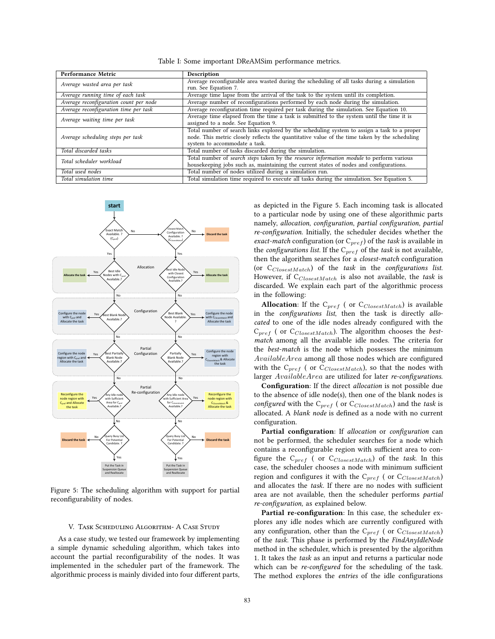Table I: Some important DReAMSim performance metrics.

| Performance Metric                     | Description                                                                                                                                                                                                                   |
|----------------------------------------|-------------------------------------------------------------------------------------------------------------------------------------------------------------------------------------------------------------------------------|
| Average wasted area per task           | Average reconfigurable area wasted during the scheduling of all tasks during a simulation<br>run. See Equation 7.                                                                                                             |
| Average running time of each task      | Average time lapse from the arrival of the task to the system until its completion.                                                                                                                                           |
| Average reconfiguration count per node | Average number of reconfigurations performed by each node during the simulation.                                                                                                                                              |
| Average reconfiguration time per task  | Average reconfiguration time required per task during the simulation. See Equation 10.                                                                                                                                        |
| Average waiting time per task          | Average time elapsed from the time a task is submitted to the system until the time it is                                                                                                                                     |
|                                        | assigned to a node. See Equation 9.                                                                                                                                                                                           |
| Average scheduling steps per task      | Total number of search links explored by the scheduling system to assign a task to a proper<br>node. This metric closely reflects the quantitative value of the time taken by the scheduling<br>system to accommodate a task. |
| Total discarded tasks                  | Total number of tasks discarded during the simulation.                                                                                                                                                                        |
| Total scheduler workload               | Total number of search steps taken by the resource information module to perform various                                                                                                                                      |
|                                        | housekeeping jobs such as, maintaining the current states of nodes and configurations.                                                                                                                                        |
| Total used nodes                       | Total number of nodes utilized during a simulation run.                                                                                                                                                                       |
| Total simulation time                  | Total simulation time required to execute all tasks during the simulation. See Equation 5.                                                                                                                                    |



Figure 5: The scheduling algorithm with support for partial reconfigurability of nodes.

#### V. Task Scheduling Algorithm- A Case Study

As a case study, we tested our framework by implementing a simple dynamic scheduling algorithm, which takes into account the partial reconfigurability of the nodes. It was implemented in the scheduler part of the framework. The algorithmic process is mainly divided into four different parts,

as depicted in the Figure 5. Each incoming task is allocated to a particular node by using one of these algorithmic parts namely, *allocation*, *configuration*, *partial configuration*, *partial re-configuration*. Initially, the scheduler decides whether the *exact-match* configuration (or  $C_{pref}$ ) of the *task* is available in the *configurations list*. If the  $C_{pref}$  of the *task* is not available, then the algorithm searches for a *closest-match* configuration (or CClosestMatch) of the *task* in the *configurations list.* However, if  $C_{ClosestMatch}$  is also not available, the *task* is discarded. We explain each part of the algorithmic process in the following:

**Allocation**: If the  $C_{pref}$  ( or  $C_{ClosestMatch}$ ) is available in the *configurations list*, then the task is directly *allocated* to one of the idle nodes already configured with the Cpref ( or CClosestMatch). The algorithm chooses the *bestmatch* among all the available idle nodes. The criteria for the *best-match* is the node which possesses the minimum AvailableArea among all those nodes which are configured with the  $C_{pref}$  ( or  $C_{ClosestMatch}$ ), so that the nodes with larger AvailableArea are utilized for later *re-configurations*.

**Configuration**: If the direct *allocation* is not possible due to the absence of idle node(s)*,* then one of the blank nodes is *configured* with the  $C_{pref}$  ( or  $C_{ClosestMatch}$ ) and the *task* is allocated. A *blank node* is defined as a node with no current configuration.

**Partial configuration**: If *allocation* or *configuration* can not be performed, the scheduler searches for a node which contains a reconfigurable region with sufficient area to configure the  $C_{pref}$  ( or  $C_{ClosestMatch}$ ) of the *task*. In this case, the scheduler chooses a node with minimum sufficient region and configures it with the  $C_{pref}$  ( or  $C_{ClosestMatch}$ ) and allocates the *task.* If there are no nodes with sufficient area are not available, then the scheduler performs *partial re-configuration,* as explained below.

**Partial re-configuration**: In this case, the scheduler explores any idle nodes which are currently configured with any configuration, other than the  $C_{pref}$  ( or  $C_{ClosestMatch}$ ) of the *task.* This phase is performed by the *FindAnyIdleNode* method in the scheduler, which is presented by the algorithm 1. It takes the *task* as an input and returns a particular node which can be *re-configured* for the scheduling of the task. The method explores the *entries* of the idle configurations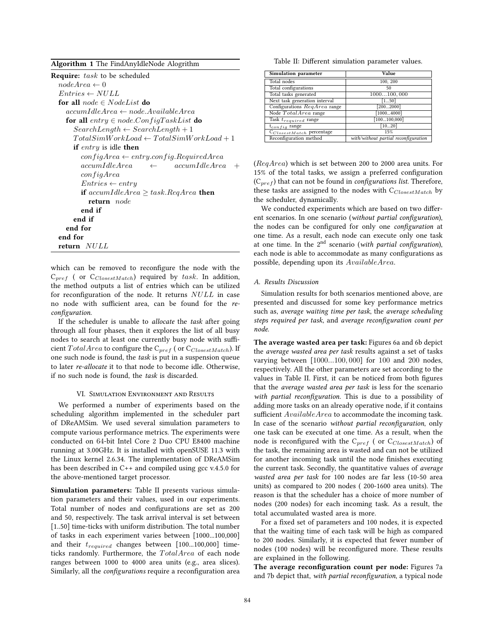**Algorithm 1** The FindAnyIdleNode Alogrithm

which can be removed to reconfigure the node with the  $C_{pref}$  ( or  $C_{ClosestMatch}$ ) required by task. In addition, the method outputs a list of entries which can be utilized for reconfiguration of the node. It returns NULL in case no node with sufficient area, can be found for the *reconfiguration*.

If the scheduler is unable to *allocate* the *task* after going through all four phases, then it explores the list of all busy nodes to search at least one currently busy node with sufficient  $TotalArea$  to configure the  $C_{pref}$  ( or  $C_{ClosestMatch}$ ). If one such node is found, the *task* is put in a suspension queue to later *re-allocate* it to that node to become idle. Otherwise, if no such node is found, the *task* is discarded.

### VI. Simulation Environment and Results

We performed a number of experiments based on the scheduling algorithm implemented in the scheduler part of DReAMSim. We used several simulation parameters to compute various performance metrics. The experiments were conducted on 64-bit Intel Core 2 Duo CPU E8400 machine running at 3.00GHz. It is installed with openSUSE 11.3 with the Linux kernel 2.6.34. The implementation of DReAMSim has been described in C++ and compiled using gcc v.4.5.0 for the above-mentioned target processor.

**Simulation parameters:** Table II presents various simulation parameters and their values, used in our experiments. Total number of nodes and configurations are set as 200 and 50, respectively. The task arrival interval is set between [1..50] time-ticks with uniform distribution. The total number of tasks in each experiment varies between [1000...100,000] and their  $t_{required}$  changes between [100...100,000] timeticks randomly. Furthermore, the TotalArea of each node ranges between 1000 to 4000 area units (e.g., area slices). Similarly, all the *configurations* require a reconfiguration area

Table II: Different simulation parameter values.

| Simulation parameter           | Value                                |
|--------------------------------|--------------------------------------|
| Total nodes                    | 100, 200                             |
| Total configurations           | 50                                   |
| Total tasks generated          | 1000100,000                          |
| Next task generation interval  | $[150]$                              |
| Configurations $ReqArea$ range | [2002000]                            |
| Node Total Area range          | [10004000]                           |
| Task $t_{required}$ range      | [100100,000]                         |
| $t_{config}$ range             | [1020]                               |
| $C_{ClosestMatch}$ percentage  | 15%                                  |
| Reconfiguration method         | with/without partial reconfiguration |

 $(RegArea)$  which is set between 200 to 2000 area units. For 15% of the total tasks, we assign a preferred configuration  $(C_{pref})$  that can not be found in *configurations list*. Therefore, these tasks are assigned to the nodes with  $C_{ClosestMatch}$  by the scheduler, dynamically.

We conducted experiments which are based on two different scenarios. In one scenario (*without partial configuration*), the nodes can be configured for only one *configuration* at one time. As a result, each node can execute only one task at one time. In the 2nd scenario (*with partial configuration*), each node is able to accommodate as many configurations as possible, depending upon its AvailableArea.

## *A. Results Discussion*

Simulation results for both scenarios mentioned above, are presented and discussed for some key performance metrics such as, *average waiting time per task*, the *average scheduling steps required per task*, and *average reconfiguration count per node*.

**The average wasted area per task:** Figures 6a and 6b depict the *average wasted area per task* results against a set of tasks varying between [1000...100, 000] for 100 and 200 nodes, respectively. All the other parameters are set according to the values in Table II. First, it can be noticed from both figures that the *average wasted area per task* is less for the scenario *with partial reconfiguration*. This is due to a possibility of adding more tasks on an already operative node, if it contains sufficient  $AvailableArea$  to accommodate the incoming task. In case of the scenario *without partial reconfiguration*, only one task can be executed at one time. As a result, when the node is reconfigured with the  $C_{pref}$  ( or  $C_{ClosestMatch}$ ) of the task, the remaining area is wasted and can not be utilized for another incoming task until the node finishes executing the current task. Secondly, the quantitative values of *average wasted area per task* for 100 nodes are far less (10-50 area units) as compared to 200 nodes ( 200-1600 area units). The reason is that the scheduler has a choice of more number of nodes (200 nodes) for each incoming task. As a result, the total accumulated wasted area is more.

For a fixed set of parameters and 100 nodes, it is expected that the waiting time of each task will be high as compared to 200 nodes. Similarly, it is expected that fewer number of nodes (100 nodes) will be reconfigured more. These results are explained in the following.

**The average reconfiguration count per node:** Figures 7a and 7b depict that, *with partial reconfiguration*, a typical node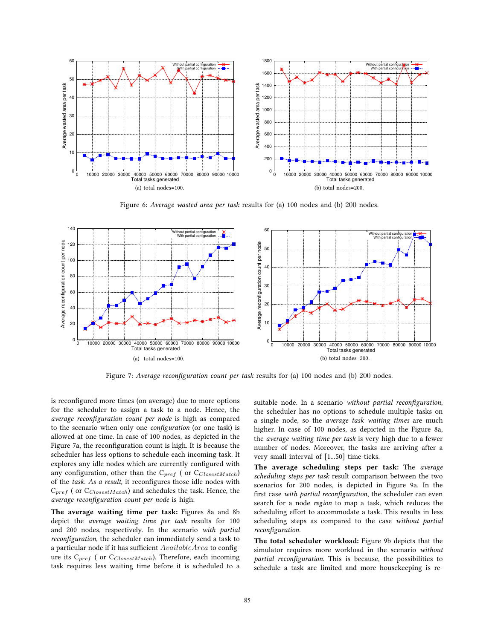

Figure 6: *Average wasted area per task* results for (a) 100 nodes and (b) 200 nodes.



Figure 7: *Average reconfiguration count per task* results for (a) 100 nodes and (b) 200 nodes.

is reconfigured more times (on average) due to more options for the scheduler to assign a task to a node. Hence, the *average reconfiguration count per node* is high as compared to the scenario when only one *configuration* (or one task) is allowed at one time. In case of 100 nodes, as depicted in the Figure 7a, the reconfiguration count is high. It is because the scheduler has less options to schedule each incoming task. It explores any idle nodes which are currently configured with any configuration, other than the  $C_{pref}$  ( or  $C_{ClosestMatch}$ ) of the *task. As a result,* it reconfigures those idle nodes with  $\mathbf{C}_{pref}$  ( or  $\mathbf{C}_{ClosestMatch}$  ) and schedules the task. Hence, the *average reconfiguration count per node* is high.

**The average waiting time per task:** Figures 8a and 8b depict the *average waiting time per task* results for 100 and 200 nodes, respectively*.* In the scenario *with partial reconfiguration*, the scheduler can immediately send a task to a particular node if it has sufficient AvailableArea to configure its  $C_{pref}$  ( or  $C_{ClosestMatch}$ ). Therefore, each incoming task requires less waiting time before it is scheduled to a suitable node. In a scenario *without partial reconfiguration*, the scheduler has no options to schedule multiple tasks on a single node, so the *average task waiting times* are much higher. In case of 100 nodes, as depicted in the Figure 8a, the *average waiting time per task* is very high due to a fewer number of nodes. Moreover, the tasks are arriving after a very small interval of [1...50] time-ticks.

**The average scheduling steps per task:** The *average scheduling steps per task* result comparison between the two scenarios for 200 nodes, is depicted in Figure 9a. In the first case *with partial reconfiguration*, the scheduler can even search for a node *region* to map a task, which reduces the scheduling effort to accommodate a task. This results in less scheduling steps as compared to the case *without partial reconfiguration*.

**The total scheduler workload:** Figure 9b depicts that the simulator requires more workload in the scenario *without partial reconfiguration*. This is because, the possibilities to schedule a task are limited and more housekeeping is re-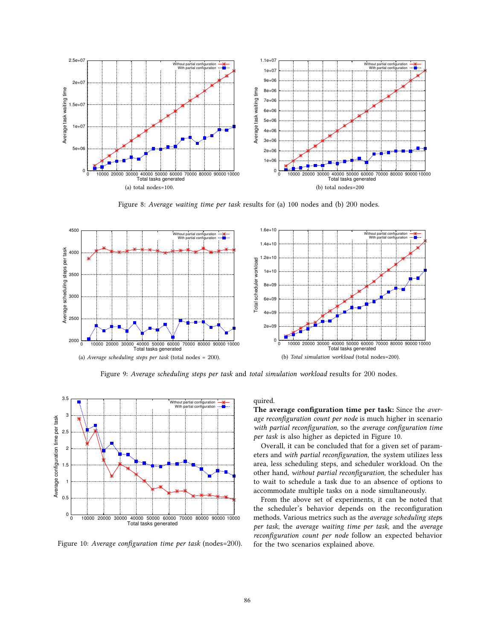

Figure 8: *Average waiting time per task* results for (a) 100 nodes and (b) 200 nodes.



Figure 9: *Average scheduling steps per task* and *total simulation workload* results for 200 nodes.



Figure 10: *Average configuration time per task* (nodes=200).

quired.

**The average configuration time per task:** Since the *average reconfiguration count per node* is much higher in scenario *with partial reconfiguration*, so the *average configuration time per task* is also higher as depicted in Figure 10.

Overall, it can be concluded that for a given set of parameters and *with partial reconfiguration*, the system utilizes less area, less scheduling steps, and scheduler workload. On the other hand, *without partial reconfiguration,* the scheduler has to wait to schedule a task due to an absence of options to accommodate multiple tasks on a node simultaneously.

From the above set of experiments, it can be noted that the scheduler's behavior depends on the reconfiguration methods. Various metrics such as the *average scheduling step*s *per task*, the *average waiting time per task*, and the *average reconfiguration count per node* follow an expected behavior for the two scenarios explained above.